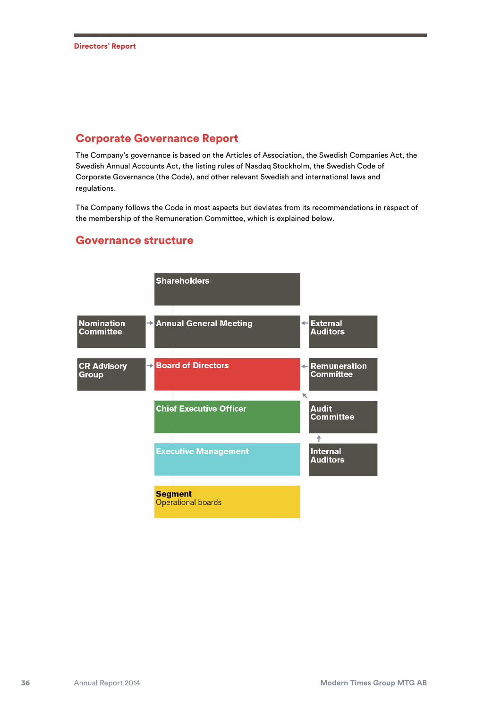## Corporate Governance Report

The Company's governance is based on the Articles of Association, the Swedish Companies Act, the Swedish Annual Accounts Act, the listing rules of Nasdaq Stockholm, the Swedish Code of Corporate Governance (the Code), and other relevant Swedish and international laws and regulations.

The Company follows the Code in most aspects but deviates from its recommendations in respect of the membership of the Remuneration Committee, which is explained below.



## Governance structure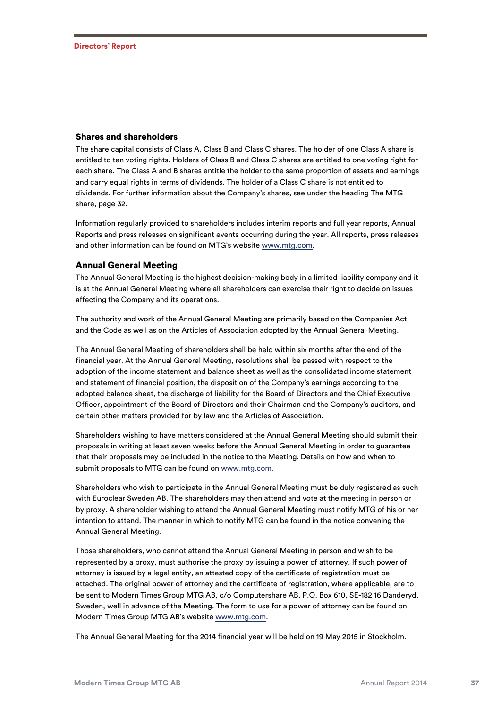### Shares and shareholders

The share capital consists of Class A, Class B and Class C shares. The holder of one Class A share is entitled to ten voting rights. Holders of Class B and Class C shares are entitled to one voting right for each share. The Class A and B shares entitle the holder to the same proportion of assets and earnings and carry equal rights in terms of dividends. The holder of a Class C share is not entitled to dividends. For further information about the Company's shares, see under the heading The MTG share, page 32.

Information regularly provided to shareholders includes interim reports and full year reports, Annual Reports and press releases on significant events occurring during the year. All reports, press releases and other information can be found on MTG's website www.mtg.com.

#### Annual General Meeting

The Annual General Meeting is the highest decision-making body in a limited liability company and it is at the Annual General Meeting where all shareholders can exercise their right to decide on issues affecting the Company and its operations.

The authority and work of the Annual General Meeting are primarily based on the Companies Act and the Code as well as on the Articles of Association adopted by the Annual General Meeting.

The Annual General Meeting of shareholders shall be held within six months after the end of the financial year. At the Annual General Meeting, resolutions shall be passed with respect to the adoption of the income statement and balance sheet as well as the consolidated income statement and statement of financial position, the disposition of the Company's earnings according to the adopted balance sheet, the discharge of liability for the Board of Directors and the Chief Executive Officer, appointment of the Board of Directors and their Chairman and the Company's auditors, and certain other matters provided for by law and the Articles of Association.

Shareholders wishing to have matters considered at the Annual General Meeting should submit their proposals in writing at least seven weeks before the Annual General Meeting in order to guarantee that their proposals may be included in the notice to the Meeting. Details on how and when to submit proposals to MTG can be found on www.mtg.com.

Shareholders who wish to participate in the Annual General Meeting must be duly registered as such with Euroclear Sweden AB. The shareholders may then attend and vote at the meeting in person or by proxy. A shareholder wishing to attend the Annual General Meeting must notify MTG of his or her intention to attend. The manner in which to notify MTG can be found in the notice convening the Annual General Meeting.

Those shareholders, who cannot attend the Annual General Meeting in person and wish to be represented by a proxy, must authorise the proxy by issuing a power of attorney. If such power of attorney is issued by a legal entity, an attested copy of the certificate of registration must be attached. The original power of attorney and the certificate of registration, where applicable, are to be sent to Modern Times Group MTG AB, c/o Computershare AB, P.O. Box 610, SE-182 16 Danderyd, Sweden, well in advance of the Meeting. The form to use for a power of attorney can be found on Modern Times Group MTG AB's website www.mtg.com.

The Annual General Meeting for the 2014 financial year will be held on 19 May 2015 in Stockholm.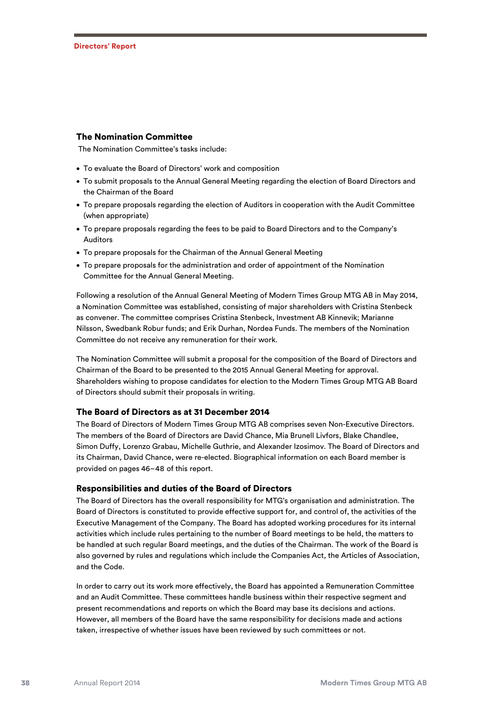#### The Nomination Committee

The Nomination Committee's tasks include:

- To evaluate the Board of Directors' work and composition
- To submit proposals to the Annual General Meeting regarding the election of Board Directors and the Chairman of the Board
- To prepare proposals regarding the election of Auditors in cooperation with the Audit Committee (when appropriate)
- To prepare proposals regarding the fees to be paid to Board Directors and to the Company's Auditors
- To prepare proposals for the Chairman of the Annual General Meeting
- To prepare proposals for the administration and order of appointment of the Nomination Committee for the Annual General Meeting.

Following a resolution of the Annual General Meeting of Modern Times Group MTG AB in May 2014, a Nomination Committee was established, consisting of major shareholders with Cristina Stenbeck as convener. The committee comprises Cristina Stenbeck, Investment AB Kinnevik; Marianne Nilsson, Swedbank Robur funds; and Erik Durhan, Nordea Funds. The members of the Nomination Committee do not receive any remuneration for their work.

The Nomination Committee will submit a proposal for the composition of the Board of Directors and Chairman of the Board to be presented to the 2015 Annual General Meeting for approval. Shareholders wishing to propose candidates for election to the Modern Times Group MTG AB Board of Directors should submit their proposals in writing.

#### The Board of Directors as at 31 December 2014

The Board of Directors of Modern Times Group MTG AB comprises seven Non-Executive Directors. The members of the Board of Directors are David Chance, Mia Brunell Livfors, Blake Chandlee, Simon Duffy, Lorenzo Grabau, Michelle Guthrie, and Alexander Izosimov. The Board of Directors and its Chairman, David Chance, were re-elected. Biographical information on each Board member is provided on pages 46–48 of this report.

#### Responsibilities and duties of the Board of Directors

The Board of Directors has the overall responsibility for MTG's organisation and administration. The Board of Directors is constituted to provide effective support for, and control of, the activities of the Executive Management of the Company. The Board has adopted working procedures for its internal activities which include rules pertaining to the number of Board meetings to be held, the matters to be handled at such regular Board meetings, and the duties of the Chairman. The work of the Board is also governed by rules and regulations which include the Companies Act, the Articles of Association, and the Code.

In order to carry out its work more effectively, the Board has appointed a Remuneration Committee and an Audit Committee. These committees handle business within their respective segment and present recommendations and reports on which the Board may base its decisions and actions. However, all members of the Board have the same responsibility for decisions made and actions taken, irrespective of whether issues have been reviewed by such committees or not.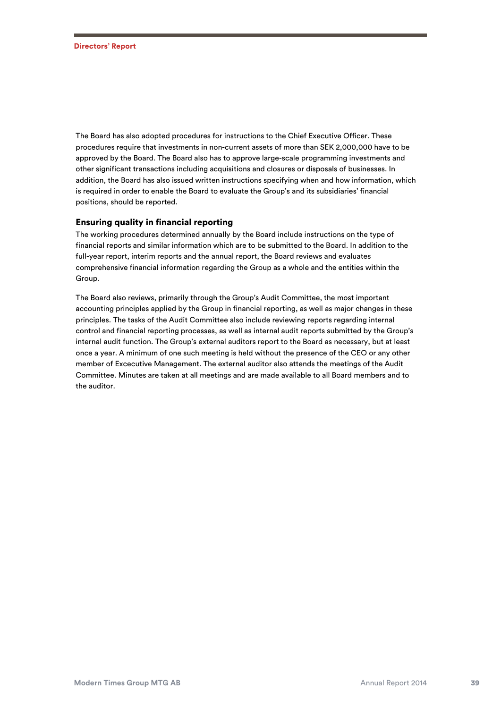The Board has also adopted procedures for instructions to the Chief Executive Officer. These procedures require that investments in non-current assets of more than SEK 2,000,000 have to be approved by the Board. The Board also has to approve large-scale programming investments and other significant transactions including acquisitions and closures or disposals of businesses. In addition, the Board has also issued written instructions specifying when and how information, which is required in order to enable the Board to evaluate the Group's and its subsidiaries' financial positions, should be reported.

## Ensuring quality in financial reporting

The working procedures determined annually by the Board include instructions on the type of financial reports and similar information which are to be submitted to the Board. In addition to the full-year report, interim reports and the annual report, the Board reviews and evaluates comprehensive financial information regarding the Group as a whole and the entities within the Group.

The Board also reviews, primarily through the Group's Audit Committee, the most important accounting principles applied by the Group in financial reporting, as well as major changes in these principles. The tasks of the Audit Committee also include reviewing reports regarding internal control and financial reporting processes, as well as internal audit reports submitted by the Group's internal audit function. The Group's external auditors report to the Board as necessary, but at least once a year. A minimum of one such meeting is held without the presence of the CEO or any other member of Excecutive Management. The external auditor also attends the meetings of the Audit Committee. Minutes are taken at all meetings and are made available to all Board members and to the auditor.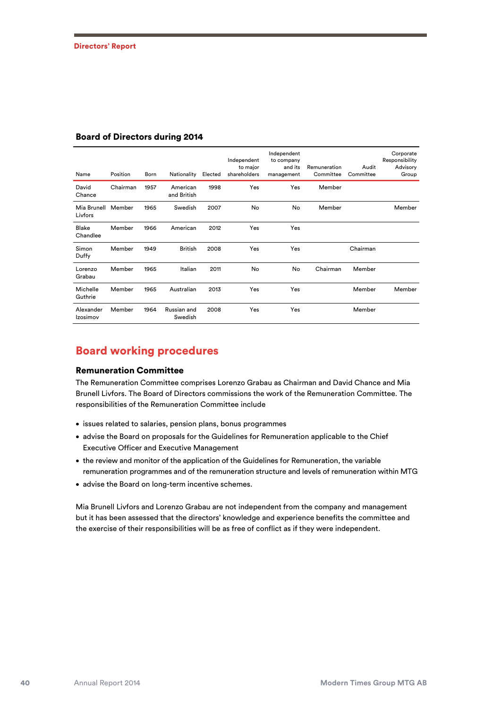| Name                   | Position | Born | Nationality             | Elected | Independent<br>to major<br>shareholders | Independent<br>to company<br>and its<br>management | Remuneration<br>Committee | Audit<br>Committee | Corporate<br>Responsibility<br>Advisory<br>Group |
|------------------------|----------|------|-------------------------|---------|-----------------------------------------|----------------------------------------------------|---------------------------|--------------------|--------------------------------------------------|
| David<br>Chance        | Chairman | 1957 | American<br>and British | 1998    | Yes                                     | Yes                                                | Member                    |                    |                                                  |
| Mia Brunell<br>Livfors | Member   | 1965 | Swedish                 | 2007    | No                                      | No                                                 | Member                    |                    | Member                                           |
| Blake<br>Chandlee      | Member   | 1966 | American                | 2012    | Yes                                     | Yes                                                |                           |                    |                                                  |
| Simon<br>Duffy         | Member   | 1949 | <b>British</b>          | 2008    | Yes                                     | Yes                                                |                           | Chairman           |                                                  |
| Lorenzo<br>Grabau      | Member   | 1965 | Italian                 | 2011    | No                                      | No                                                 | Chairman                  | Member             |                                                  |
| Michelle<br>Guthrie    | Member   | 1965 | Australian              | 2013    | Yes                                     | Yes                                                |                           | Member             | Member                                           |
| Alexander<br>Izosimov  | Member   | 1964 | Russian and<br>Swedish  | 2008    | Yes                                     | Yes                                                |                           | Member             |                                                  |

### Board of Directors during 2014

# Board working procedures

### Remuneration Committee

The Remuneration Committee comprises Lorenzo Grabau as Chairman and David Chance and Mia Brunell Livfors. The Board of Directors commissions the work of the Remuneration Committee. The responsibilities of the Remuneration Committee include

- issues related to salaries, pension plans, bonus programmes
- advise the Board on proposals for the Guidelines for Remuneration applicable to the Chief Executive Officer and Executive Management
- the review and monitor of the application of the Guidelines for Remuneration, the variable remuneration programmes and of the remuneration structure and levels of remuneration within MTG
- advise the Board on long-term incentive schemes.

Mia Brunell Livfors and Lorenzo Grabau are not independent from the company and management but it has been assessed that the directors' knowledge and experience benefits the committee and the exercise of their responsibilities will be as free of conflict as if they were independent.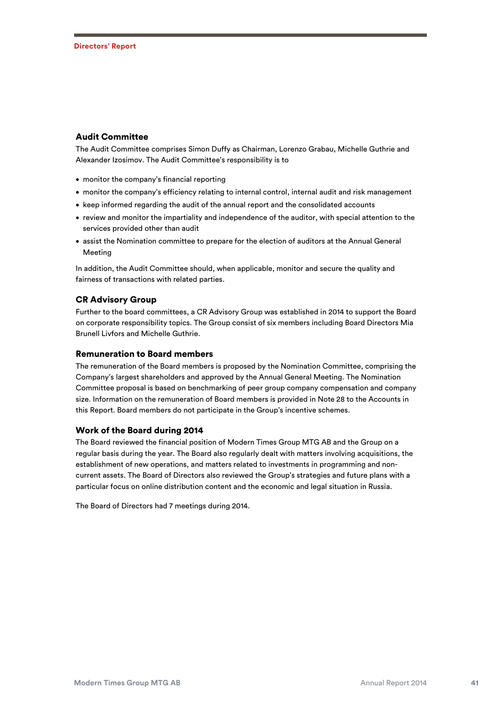## Audit Committee

The Audit Committee comprises Simon Duffy as Chairman, Lorenzo Grabau, Michelle Guthrie and Alexander Izosimov. The Audit Committee's responsibility is to

- monitor the company's financial reporting
- monitor the company's efficiency relating to internal control, internal audit and risk management
- keep informed regarding the audit of the annual report and the consolidated accounts
- review and monitor the impartiality and independence of the auditor, with special attention to the services provided other than audit
- assist the Nomination committee to prepare for the election of auditors at the Annual General Meeting

In addition, the Audit Committee should, when applicable, monitor and secure the quality and fairness of transactions with related parties.

## CR Advisory Group

Further to the board committees, a CR Advisory Group was established in 2014 to support the Board on corporate responsibility topics. The Group consist of six members including Board Directors Mia Brunell Livfors and Michelle Guthrie.

### Remuneration to Board members

The remuneration of the Board members is proposed by the Nomination Committee, comprising the Company's largest shareholders and approved by the Annual General Meeting. The Nomination Committee proposal is based on benchmarking of peer group company compensation and company size. Information on the remuneration of Board members is provided in Note 28 to the Accounts in this Report. Board members do not participate in the Group's incentive schemes.

## Work of the Board during 2014

The Board reviewed the financial position of Modern Times Group MTG AB and the Group on a regular basis during the year. The Board also regularly dealt with matters involving acquisitions, the establishment of new operations, and matters related to investments in programming and noncurrent assets. The Board of Directors also reviewed the Group's strategies and future plans with a particular focus on online distribution content and the economic and legal situation in Russia.

The Board of Directors had 7 meetings during 2014.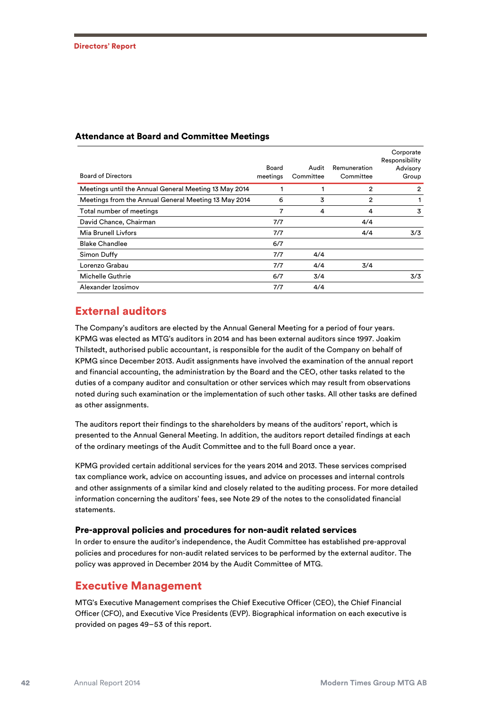| <b>Board of Directors</b>                             | Board<br>meetings | Audit<br>Committee | Remuneration<br>Committee | Corporate<br>Responsibility<br>Advisory<br>Group |
|-------------------------------------------------------|-------------------|--------------------|---------------------------|--------------------------------------------------|
| Meetings until the Annual General Meeting 13 May 2014 |                   |                    | 2                         | 2                                                |
| Meetings from the Annual General Meeting 13 May 2014  | 6                 | 3                  | 2                         |                                                  |
| Total number of meetings                              | 7                 | 4                  | 4                         | 3                                                |
| David Chance, Chairman                                | 7/7               |                    | 4/4                       |                                                  |
| Mia Brunell Livfors                                   | 7/7               |                    | 4/4                       | 3/3                                              |
| <b>Blake Chandlee</b>                                 | 6/7               |                    |                           |                                                  |
| Simon Duffy                                           | 7/7               | 4/4                |                           |                                                  |
| Lorenzo Grabau                                        | 7/7               | 4/4                | 3/4                       |                                                  |
| <b>Michelle Guthrie</b>                               | 6/7               | 3/4                |                           | 3/3                                              |
| Alexander Izosimov                                    | 7/7               | 4/4                |                           |                                                  |

## Attendance at Board and Committee Meetings

## External auditors

The Company's auditors are elected by the Annual General Meeting for a period of four years. KPMG was elected as MTG's auditors in 2014 and has been external auditors since 1997. Joakim Thilstedt, authorised public accountant, is responsible for the audit of the Company on behalf of KPMG since December 2013. Audit assignments have involved the examination of the annual report and financial accounting, the administration by the Board and the CEO, other tasks related to the duties of a company auditor and consultation or other services which may result from observations noted during such examination or the implementation of such other tasks. All other tasks are defined as other assignments.

The auditors report their findings to the shareholders by means of the auditors' report, which is presented to the Annual General Meeting. In addition, the auditors report detailed findings at each of the ordinary meetings of the Audit Committee and to the full Board once a year.

KPMG provided certain additional services for the years 2014 and 2013. These services comprised tax compliance work, advice on accounting issues, and advice on processes and internal controls and other assignments of a similar kind and closely related to the auditing process. For more detailed information concerning the auditors' fees, see Note 29 of the notes to the consolidated financial statements.

## Pre-approval policies and procedures for non-audit related services

In order to ensure the auditor's independence, the Audit Committee has established pre-approval policies and procedures for non-audit related services to be performed by the external auditor. The policy was approved in December 2014 by the Audit Committee of MTG.

## Executive Management

MTG's Executive Management comprises the Chief Executive Officer (CEO), the Chief Financial Officer (CFO), and Executive Vice Presidents (EVP). Biographical information on each executive is provided on pages 49–53 of this report.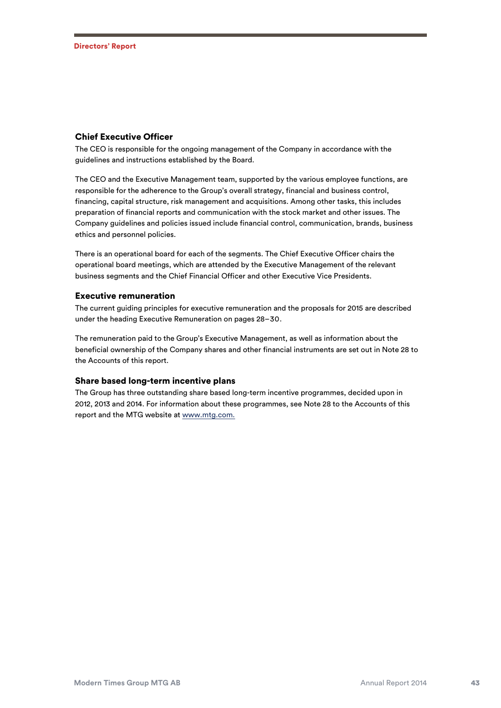### Chief Executive Officer

The CEO is responsible for the ongoing management of the Company in accordance with the guidelines and instructions established by the Board.

The CEO and the Executive Management team, supported by the various employee functions, are responsible for the adherence to the Group's overall strategy, financial and business control, financing, capital structure, risk management and acquisitions. Among other tasks, this includes preparation of financial reports and communication with the stock market and other issues. The Company guidelines and policies issued include financial control, communication, brands, business ethics and personnel policies.

There is an operational board for each of the segments. The Chief Executive Officer chairs the operational board meetings, which are attended by the Executive Management of the relevant business segments and the Chief Financial Officer and other Executive Vice Presidents.

#### Executive remuneration

The current guiding principles for executive remuneration and the proposals for 2015 are described under the heading Executive Remuneration on pages 28–30.

The remuneration paid to the Group's Executive Management, as well as information about the beneficial ownership of the Company shares and other financial instruments are set out in Note 28 to the Accounts of this report.

## Share based long-term incentive plans

The Group has three outstanding share based long-term incentive programmes, decided upon in 2012, 2013 and 2014. For information about these programmes, see Note 28 to the Accounts of this report and the MTG website at www.mtg.com.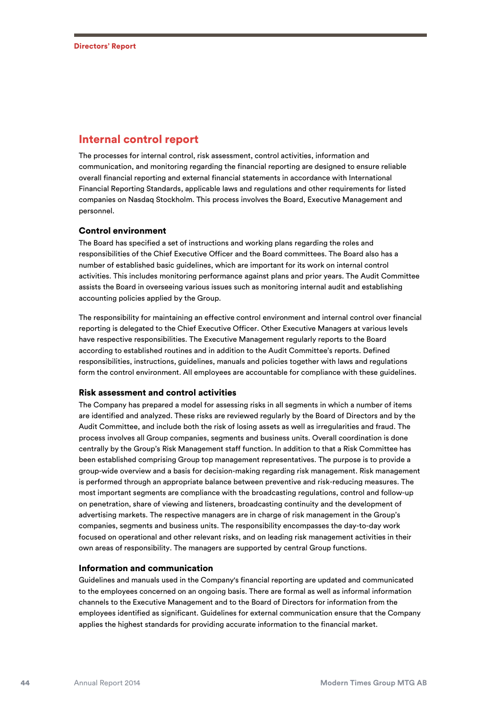## Internal control report

The processes for internal control, risk assessment, control activities, information and communication, and monitoring regarding the financial reporting are designed to ensure reliable overall financial reporting and external financial statements in accordance with International Financial Reporting Standards, applicable laws and regulations and other requirements for listed companies on Nasdaq Stockholm. This process involves the Board, Executive Management and personnel.

### Control environment

The Board has specified a set of instructions and working plans regarding the roles and responsibilities of the Chief Executive Officer and the Board committees. The Board also has a number of established basic guidelines, which are important for its work on internal control activities. This includes monitoring performance against plans and prior years. The Audit Committee assists the Board in overseeing various issues such as monitoring internal audit and establishing accounting policies applied by the Group.

The responsibility for maintaining an effective control environment and internal control over financial reporting is delegated to the Chief Executive Officer. Other Executive Managers at various levels have respective responsibilities. The Executive Management regularly reports to the Board according to established routines and in addition to the Audit Committee's reports. Defined responsibilities, instructions, guidelines, manuals and policies together with laws and regulations form the control environment. All employees are accountable for compliance with these guidelines.

#### Risk assessment and control activities

The Company has prepared a model for assessing risks in all segments in which a number of items are identified and analyzed. These risks are reviewed regularly by the Board of Directors and by the Audit Committee, and include both the risk of losing assets as well as irregularities and fraud. The process involves all Group companies, segments and business units. Overall coordination is done centrally by the Group's Risk Management staff function. In addition to that a Risk Committee has been established comprising Group top management representatives. The purpose is to provide a group-wide overview and a basis for decision-making regarding risk management. Risk management is performed through an appropriate balance between preventive and risk-reducing measures. The most important segments are compliance with the broadcasting regulations, control and follow-up on penetration, share of viewing and listeners, broadcasting continuity and the development of advertising markets. The respective managers are in charge of risk management in the Group's companies, segments and business units. The responsibility encompasses the day-to-day work focused on operational and other relevant risks, and on leading risk management activities in their own areas of responsibility. The managers are supported by central Group functions.

#### Information and communication

Guidelines and manuals used in the Company's financial reporting are updated and communicated to the employees concerned on an ongoing basis. There are formal as well as informal information channels to the Executive Management and to the Board of Directors for information from the employees identified as significant. Guidelines for external communication ensure that the Company applies the highest standards for providing accurate information to the financial market.